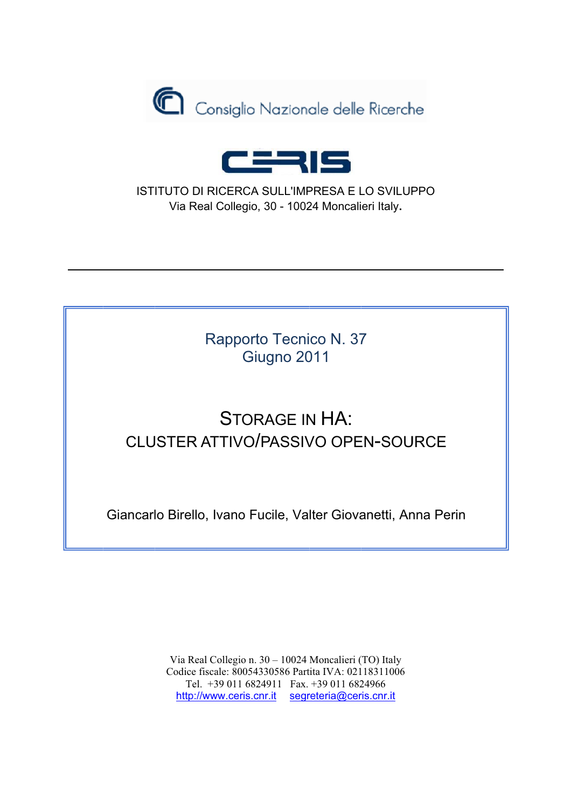



ISTITUTO DI RICERCA SULL'IMPRESA E LO SVILUPPO Via Real Collegio, 30 - 10024 Moncalieri Italy,

> Rapporto Tecnico N. 37 Giugno 2011

## **STORAGE IN HA: CLUSTER ATTIVO/PASSIVO OPEN-SOURCE**

Giancarlo Birello, Ivano Fucile, Valter Giovanetti, Anna Perin

Via Real Collegio n. 30 - 10024 Moncalieri (TO) Italy Codice fiscale: 80054330586 Partita IVA: 02118311006 Tel. +39 011 6824911 Fax. +39 011 6824966 http://www.ceris.cnr.it segreteria@ceris.cnr.it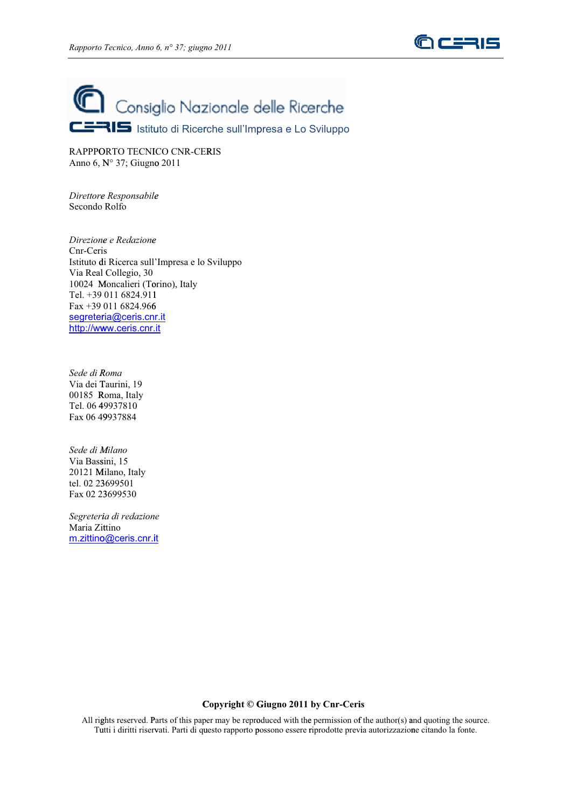



RAPPPORTO TECNICO CNR-CERIS Anno 6, N° 37; Giugno 2011

*Direttore Responsabile* Secondo Rolfo *ee*

*Direzione e e Redazione* Cnr-Ceris Istituto d di Ricerca sull 'Impresa e lo Sviluppo Via Real Collegio, 30 10024 Moncalieri (Torino), Italy Tel. +39 011 6824.911 1 Fax +39 011 6824.966 6<u>segreteria@ceris.cnr.it</u> <u>http://www.ceris.cnr.it</u>

*Sede di R Roma* Via dei T Taurini, 19 00185 R Roma, Italy Tel. 06 4 49937810 Fax 06 49 9937884

*Sede di M Milano*  Via Bass sini, 15 20121 M Milano, Italy tel. 02 23 3699501 Fax 02 23 3699530

*Segreteri ia di redazion e* Maria Zittino <u>m.zittino@ceris.cnr.it</u>

## **C Copyright © G Giugno 2011 by Cnr-Ceris**

All rights reserved. Parts of this paper may be reproduced with the permission of the author(s) and quoting the source. Tutti i diritti riservati. Parti di questo rapporto possono essere riprodotte previa autorizzazione citando la fonte.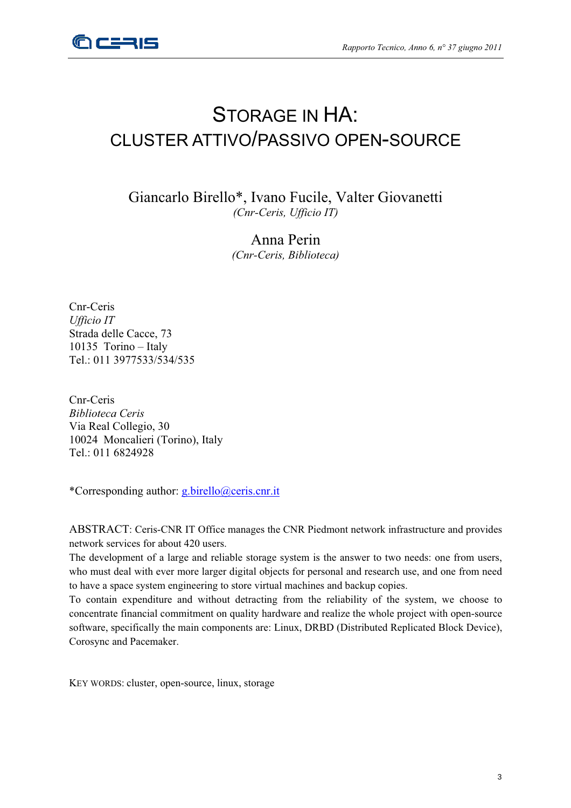

## STORAGE IN HA: CLUSTER ATTIVO/PASSIVO OPEN-SOURCE

Giancarlo Birello\*, Ivano Fucile, Valter Giovanetti *(Cnr-Ceris, Ufficio IT)*

> Anna Perin *(Cnr-Ceris, Biblioteca)*

Cnr-Ceris *Ufficio IT*  Strada delle Cacce, 73 10135 Torino – Italy Tel.: 011 3977533/534/535

Cnr-Ceris *Biblioteca Ceris*  Via Real Collegio, 30 10024 Moncalieri (Torino), Italy Tel.: 011 6824928

\*Corresponding author: g.birello@ceris.cnr.it

ABSTRACT: Ceris-CNR IT Office manages the CNR Piedmont network infrastructure and provides network services for about 420 users.

The development of a large and reliable storage system is the answer to two needs: one from users, who must deal with ever more larger digital objects for personal and research use, and one from need to have a space system engineering to store virtual machines and backup copies.

To contain expenditure and without detracting from the reliability of the system, we choose to concentrate financial commitment on quality hardware and realize the whole project with open-source software, specifically the main components are: Linux, DRBD (Distributed Replicated Block Device), Corosync and Pacemaker.

KEY WORDS: cluster, open-source, linux, storage